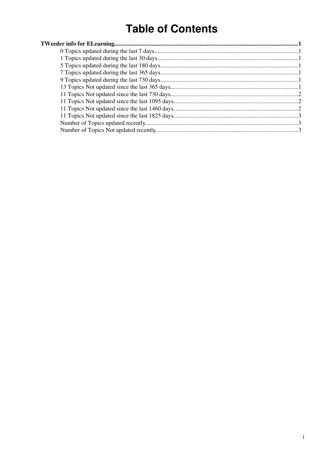# **Table of Contents**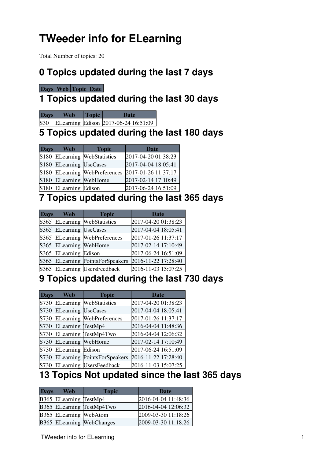# <span id="page-1-0"></span>**TWeeder info for ELearning**

Total Number of topics: 20

#### <span id="page-1-1"></span>**0 Topics updated during the last 7 days**

#### **[Days](https://twiki.cern.ch/twiki/bin/genpdf/ELearning/TWeederTopics?skin=pattern;cover=print;sortcol=0;table=1;up=0#sorted_table) [Web](https://twiki.cern.ch/twiki/bin/genpdf/ELearning/TWeederTopics?skin=pattern;cover=print;sortcol=1;table=1;up=0#sorted_table) [Topic](https://twiki.cern.ch/twiki/bin/genpdf/ELearning/TWeederTopics?skin=pattern;cover=print;sortcol=2;table=1;up=0#sorted_table) [Date](https://twiki.cern.ch/twiki/bin/genpdf/ELearning/TWeederTopics?skin=pattern;cover=print;sortcol=3;table=1;up=0#sorted_table)**

# <span id="page-1-2"></span>**1 Topics updated during the last 30 days**

| <b>Days</b> | <b>Topic</b> | Tlate                                    |
|-------------|--------------|------------------------------------------|
|             |              | S30 ELearning Edison 2017-06-24 16:51:09 |

#### <span id="page-1-3"></span>**5 Topics updated during the last 180 days**

| <b>Days</b>      | Web                       | <b>Topic</b>                    | <b>Date</b>         |
|------------------|---------------------------|---------------------------------|---------------------|
| S180             |                           | <b>ELearning WebStatistics</b>  | 2017-04-20 01:38:23 |
| S180             | <b>ELearning UseCases</b> |                                 | 2017-04-04 18:05:41 |
| S <sub>180</sub> |                           | <b>ELearning WebPreferences</b> | 2017-01-26 11:37:17 |
| S <sub>180</sub> | <b>ELearning</b> WebHome  |                                 | 2017-02-14 17:10:49 |
| S <sub>180</sub> | <b>ELearning Edison</b>   |                                 | 2017-06-24 16:51:09 |

#### <span id="page-1-4"></span>**7 Topics updated during the last 365 days**

| <b>Days</b> | <b>Web</b>                | <b>Topic</b>                       | <b>Date</b>         |
|-------------|---------------------------|------------------------------------|---------------------|
| S365        |                           | <b>ELearning WebStatistics</b>     | 2017-04-20 01:38:23 |
| S365        | <b>ELearning UseCases</b> |                                    | 2017-04-04 18:05:41 |
| S365        |                           | <b>ELearning WebPreferences</b>    | 2017-01-26 11:37:17 |
| S365        | <b>ELearning</b> WebHome  |                                    | 2017-02-14 17:10:49 |
| S365        | <b>ELearning Edison</b>   |                                    | 2017-06-24 16:51:09 |
| S365        |                           | <b>ELearning PointsForSpeakers</b> | 2016-11-22 17:28:40 |
| S365        |                           | <b>ELearning UsersFeedback</b>     | 2016-11-03 15:07:25 |

#### <span id="page-1-5"></span>**9 Topics updated during the last 730 days**

| <b>Days</b> | Web                       | <b>Topic</b>                       | <b>Date</b>         |
|-------------|---------------------------|------------------------------------|---------------------|
| S730        |                           | <b>ELearning WebStatistics</b>     | 2017-04-20 01:38:23 |
| S730        | <b>ELearning UseCases</b> |                                    | 2017-04-04 18:05:41 |
| S730        |                           | <b>ELearning WebPreferences</b>    | 2017-01-26 11:37:17 |
| S730        | <b>ELearning TestMp4</b>  |                                    | 2016-04-04 11:48:36 |
| S730        |                           | ELearning TestMp4Two               | 2016-04-04 12:06:32 |
| S730        | <b>ELearning WebHome</b>  |                                    | 2017-02-14 17:10:49 |
| S730        | <b>ELearning Edison</b>   |                                    | 2017-06-24 16:51:09 |
| S730        |                           | <b>ELearning PointsForSpeakers</b> | 2016-11-22 17:28:40 |
| S730        |                           | <b>ELearning UsersFeedback</b>     | 2016-11-03 15:07:25 |

#### <span id="page-1-6"></span>**13 Topics Not updated since the last 365 days**

| <b>Days</b> | <b>Web</b>             | <b>Topic</b>              | Date                |
|-------------|------------------------|---------------------------|---------------------|
|             | B365 ELearning TestMp4 |                           | 2016-04-04 11:48:36 |
|             |                        | B365 ELearning TestMp4Two | 2016-04-04 12:06:32 |
|             | B365 ELearning WebAtom |                           | 2009-03-30 11:18:26 |
|             |                        | B365 ELearning WebChanges | 2009-03-30 11:18:26 |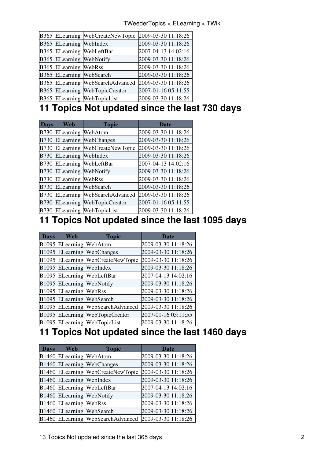|                                | B365 ELearning WebCreateNewTopic | 2009-03-30 11:18:26 |
|--------------------------------|----------------------------------|---------------------|
| <b>B365</b> ELearning WebIndex |                                  | 2009-03-30 11:18:26 |
|                                | B365 ELearning WebLeftBar        | 2007-04-13 14:02:16 |
|                                | B365 ELearning WebNotify         | 2009-03-30 11:18:26 |
| B365 ELearning WebRss          |                                  | 2009-03-30 11:18:26 |
|                                | B365 ELearning WebSearch         | 2009-03-30 11:18:26 |
|                                | B365 ELearning WebSearchAdvanced | 2009-03-30 11:18:26 |
|                                | B365 ELearning WebTopicCreator   | 2007-01-16 05:11:55 |
|                                | B365 ELearning WebTopicList      | 2009-03-30 11:18:26 |

# <span id="page-2-0"></span>**11 Topics Not updated since the last 730 days**

| <b>Days</b> | Web                       | <b>Topic</b>                       | <b>Date</b>         |
|-------------|---------------------------|------------------------------------|---------------------|
| <b>B730</b> | <b>ELearning WebAtom</b>  |                                    | 2009-03-30 11:18:26 |
| B730        |                           | <b>ELearning WebChanges</b>        | 2009-03-30 11:18:26 |
| B730        |                           | ELearning WebCreateNewTopic        | 2009-03-30 11:18:26 |
| B730        | <b>ELearning WebIndex</b> |                                    | 2009-03-30 11:18:26 |
| B730        |                           | <b>ELearning WebLeftBar</b>        | 2007-04-13 14:02:16 |
| B730        |                           | <b>ELearning WebNotify</b>         | 2009-03-30 11:18:26 |
| B730        | <b>ELearning WebRss</b>   |                                    | 2009-03-30 11:18:26 |
| B730        |                           | <b>ELearning WebSearch</b>         | 2009-03-30 11:18:26 |
| B730        |                           | <b>ELearning WebSearchAdvanced</b> | 2009-03-30 11:18:26 |
| B730        |                           | ELearning WebTopicCreator          | 2007-01-16 05:11:55 |
| <b>B730</b> |                           | ELearning WebTopicList             | 2009-03-30 11:18:26 |

### <span id="page-2-1"></span>**11 Topics Not updated since the last 1095 days**

| <b>Days</b>       | Web                       | <b>Topic</b>                    | <b>Date</b>         |
|-------------------|---------------------------|---------------------------------|---------------------|
| B1095             | <b>ELearning WebAtom</b>  |                                 | 2009-03-30 11:18:26 |
| B1095             |                           | <b>ELearning WebChanges</b>     | 2009-03-30 11:18:26 |
| B1095             |                           | ELearning WebCreateNewTopic     | 2009-03-30 11:18:26 |
|                   | B1095 ELearning WebIndex  |                                 | 2009-03-30 11:18:26 |
|                   |                           | B1095 ELearning WebLeftBar      | 2007-04-13 14:02:16 |
|                   | B1095 ELearning WebNotify |                                 | 2009-03-30 11:18:26 |
|                   | B1095 ELearning WebRss    |                                 | 2009-03-30 11:18:26 |
|                   |                           | B1095 ELearning WebSearch       | 2009-03-30 11:18:26 |
| B <sub>1095</sub> |                           | ELearning WebSearchAdvanced     | 2009-03-30 11:18:26 |
|                   |                           | B1095 ELearning WebTopicCreator | 2007-01-16 05:11:55 |
|                   |                           | B1095 ELearning WebTopicList    | 2009-03-30 11:18:26 |

#### <span id="page-2-2"></span>**11 Topics Not updated since the last 1460 days**

| <b>Days</b> | <b>Web</b>                | <b>Topic</b>                                          | <b>Date</b>         |
|-------------|---------------------------|-------------------------------------------------------|---------------------|
|             | B1460 ELearning WebAtom   |                                                       | 2009-03-30 11:18:26 |
|             |                           | <b>B1460 ELearning WebChanges</b>                     | 2009-03-30 11:18:26 |
|             |                           | B1460 ELearning WebCreateNewTopic                     | 2009-03-30 11:18:26 |
|             | B1460 ELearning WebIndex  |                                                       | 2009-03-30 11:18:26 |
|             |                           | B1460 ELearning WebLeftBar                            | 2007-04-13 14:02:16 |
|             | B1460 ELearning WebNotify |                                                       | 2009-03-30 11:18:26 |
|             | B1460 ELearning WebRss    |                                                       | 2009-03-30 11:18:26 |
|             |                           | B1460 ELearning WebSearch                             | 2009-03-30 11:18:26 |
|             |                           | B1460 ELearning WebSearchAdvanced 2009-03-30 11:18:26 |                     |